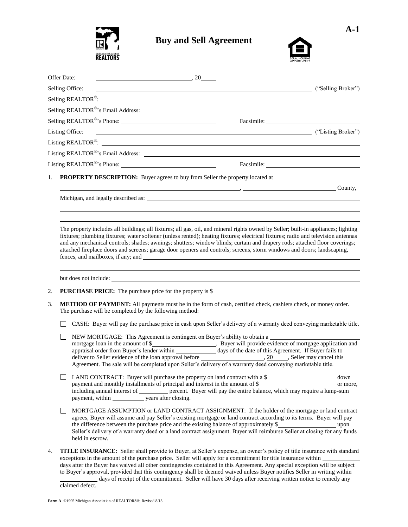

## **Buy and Sell Agreement**



| Offer Date: | $\sim$ $\sim$ $20$                                                                                                                                                                                                                                                           |                                         |            |
|-------------|------------------------------------------------------------------------------------------------------------------------------------------------------------------------------------------------------------------------------------------------------------------------------|-----------------------------------------|------------|
|             | Selling Office:                                                                                                                                                                                                                                                              | ("Selling Broker")                      |            |
|             | Selling REALTOR <sup>®</sup> : $\qquad \qquad$                                                                                                                                                                                                                               |                                         |            |
|             |                                                                                                                                                                                                                                                                              |                                         |            |
|             |                                                                                                                                                                                                                                                                              |                                         | Facsimile: |
|             | Listing Office:                                                                                                                                                                                                                                                              | <b>CONSERVERSITY</b> ("Listing Broker") |            |
|             | Listing REALTOR®: $\qquad \qquad$                                                                                                                                                                                                                                            |                                         |            |
|             |                                                                                                                                                                                                                                                                              |                                         |            |
|             |                                                                                                                                                                                                                                                                              |                                         |            |
| 1.          |                                                                                                                                                                                                                                                                              |                                         |            |
|             |                                                                                                                                                                                                                                                                              | $\longrightarrow$ County,               |            |
|             | Michigan, and legally described as:                                                                                                                                                                                                                                          |                                         |            |
|             |                                                                                                                                                                                                                                                                              |                                         |            |
|             |                                                                                                                                                                                                                                                                              |                                         |            |
| 2.          | <b>PURCHASE PRICE:</b> The purchase price for the property is \$                                                                                                                                                                                                             |                                         |            |
| 3.          | METHOD OF PAYMENT: All payments must be in the form of cash, certified check, cashiers check, or money order.<br>The purchase will be completed by the following method:                                                                                                     |                                         |            |
|             | CASH: Buyer will pay the purchase price in cash upon Seller's delivery of a warranty deed conveying marketable title.                                                                                                                                                        |                                         |            |
|             | NEW MORTGAGE: This Agreement is contingent on Buyer's ability to obtain a<br>Agreement. The sale will be completed upon Seller's delivery of a warranty deed conveying marketable title.                                                                                     |                                         |            |
|             | LAND CONTRACT: Buyer will purchase the property on land contract with a \$___________________________ down<br>including annual interest of _________ percent. Buyer will pay the entire balance, which may require a lump-sum<br>payment, within <u>vears</u> after closing. |                                         |            |
|             | MORTGAGE ASSUMPTION or LAND CONTRACT ASSIGNMENT: If the holder of the mortgage or land contract                                                                                                                                                                              |                                         |            |

- MORTGAGE ASSUMPTION or LAND CONTRACT ASSIGNMENT: If the holder of the mortgage or land contract agrees, Buyer will assume and pay Seller's existing mortgage or land contract according to its terms. Buyer will pay the difference between the purchase price and the existing balance of approximately \$ Seller's delivery of a warranty deed or a land contract assignment. Buyer will reimburse Seller at closing for any funds held in escrow.
- 4. **TITLE INSURANCE:** Seller shall provide to Buyer, at Seller's expense, an owner's policy of title insurance with standard exceptions in the amount of the purchase price. Seller will apply for a commitment for title insurance within days after the Buyer has waived all other contingencies contained in this Agreement. Any special exception will be subject to Buyer's approval, provided that this contingency shall be deemed waived unless Buyer notifies Seller in writing within days of receipt of the commitment. Seller will have 30 days after receiving written notice to remedy any

claimed defect.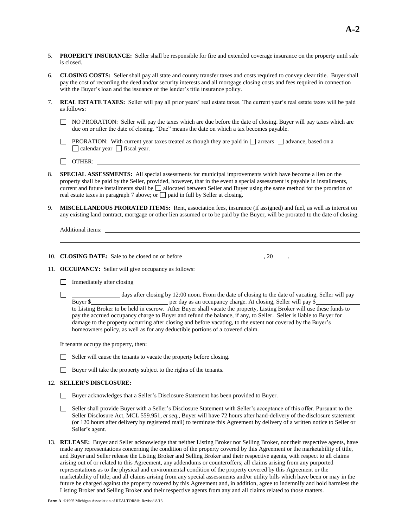- 5. **PROPERTY INSURANCE:** Seller shall be responsible for fire and extended coverage insurance on the property until sale is closed.
- 6. **CLOSING COSTS:** Seller shall pay all state and county transfer taxes and costs required to convey clear title. Buyer shall pay the cost of recording the deed and/or security interests and all mortgage closing costs and fees required in connection with the Buyer's loan and the issuance of the lender's title insurance policy.
- 7. **REAL ESTATE TAXES:** Seller will pay all prior years' real estate taxes. The current year's real estate taxes will be paid as follows:
	- $\Box$  NO PRORATION: Seller will pay the taxes which are due before the date of closing. Buyer will pay taxes which are due on or after the date of closing. "Due" means the date on which a tax becomes payable.
	- **PRORATION:** With current year taxes treated as though they are paid in  $\Box$  arrears  $\Box$  advance, based on a  $\Box$  calendar year  $\Box$  fiscal year.
	- $\Box$  OTHER:  $\Box$
- 8. **SPECIAL ASSESSMENTS:** All special assessments for municipal improvements which have become a lien on the property shall be paid by the Seller, provided, however, that in the event a special assessment is payable in installments, current and future installments shall be  $\Box$  allocated between Seller and Buyer using the same method for the proration of real estate taxes in paragraph 7 above; or  $\Box$  paid in full by Seller at closing.
- 9. **MISCELLANEOUS PRORATED ITEMS:** Rent, association fees, insurance (if assigned) and fuel, as well as interest on any existing land contract, mortgage or other lien assumed or to be paid by the Buyer, will be prorated to the date of closing.

Additional items:

- 10. **CLOSING DATE:** Sale to be closed on or before  $\qquad \qquad \ldots$ , 20 ...
- 11. **OCCUPANCY:** Seller will give occupancy as follows:
	- $\Box$  Immediately after closing
	- □ days after closing by 12:00 noon. From the date of closing to the date of vacating, Seller will pay Buyer \$ per day as an occupancy charge. At closing, Seller will pay \$ to Listing Broker to be held in escrow. After Buyer shall vacate the property, Listing Broker will use these funds to pay the accrued occupancy charge to Buyer and refund the balance, if any, to Seller. Seller is liable to Buyer for damage to the property occurring after closing and before vacating, to the extent not covered by the Buyer's homeowners policy, as well as for any deductible portions of a covered claim.

If tenants occupy the property, then:

- $\Box$  Seller will cause the tenants to vacate the property before closing.
- Buyer will take the property subject to the rights of the tenants.

## 12. **SELLER'S DISCLOSURE:**

- Buyer acknowledges that a Seller's Disclosure Statement has been provided to Buyer.
- Seller shall provide Buyer with a Seller's Disclosure Statement with Seller's acceptance of this offer. Pursuant to the Seller Disclosure Act, MCL 559.951, *et seq.*, Buyer will have 72 hours after hand-delivery of the disclosure statement (or 120 hours after delivery by registered mail) to terminate this Agreement by delivery of a written notice to Seller or Seller's agent.
- 13. **RELEASE:** Buyer and Seller acknowledge that neither Listing Broker nor Selling Broker, nor their respective agents, have made any representations concerning the condition of the property covered by this Agreement or the marketability of title, and Buyer and Seller release the Listing Broker and Selling Broker and their respective agents, with respect to all claims arising out of or related to this Agreement, any addendums or counteroffers; all claims arising from any purported representations as to the physical and environmental condition of the property covered by this Agreement or the marketability of title; and all claims arising from any special assessments and/or utility bills which have been or may in the future be charged against the property covered by this Agreement and, in addition, agree to indemnify and hold harmless the Listing Broker and Selling Broker and their respective agents from any and all claims related to those matters.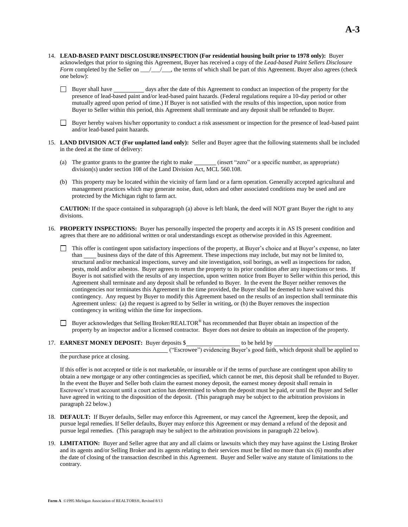- 14. **LEAD-BASED PAINT DISCLOSURE/INSPECTION (For residential housing built prior to 1978 only):** Buyer acknowledges that prior to signing this Agreement, Buyer has received a copy of the *Lead-based Paint Sellers Disclosure Form* completed by the Seller on \_\_\_\_\_\_\_\_, the terms of which shall be part of this Agreement. Buyer also agrees (check one below):
	- Buyer shall have days after the date of this Agreement to conduct an inspection of the property for the presence of lead-based paint and/or lead-based paint hazards. (Federal regulations require a 10-day period or other mutually agreed upon period of time.) If Buyer is not satisfied with the results of this inspection, upon notice from Buyer to Seller within this period, this Agreement shall terminate and any deposit shall be refunded to Buyer.
	- Buyer hereby waives his/her opportunity to conduct a risk assessment or inspection for the presence of lead-based paint and/or lead-based paint hazards.
- 15. **LAND DIVISION ACT (For unplatted land only):** Seller and Buyer agree that the following statements shall be included in the deed at the time of delivery:
	- (a) The grantor grants to the grantee the right to make *(insert "zero"* or a specific number, as appropriate) division(s) under section 108 of the Land Division Act, MCL 560.108.
	- (b) This property may be located within the vicinity of farm land or a farm operation. Generally accepted agricultural and management practices which may generate noise, dust, odors and other associated conditions may be used and are protected by the Michigan right to farm act.

**CAUTION:** If the space contained in subparagraph (a) above is left blank, the deed will NOT grant Buyer the right to any divisions.

- 16. **PROPERTY INSPECTIONS:** Buyer has personally inspected the property and accepts it in AS IS present condition and agrees that there are no additional written or oral understandings except as otherwise provided in this Agreement.
	- This offer is contingent upon satisfactory inspections of the property, at Buyer's choice and at Buyer's expense, no later than business days of the date of this Agreement. These inspections may include, but may not be limited to, structural and/or mechanical inspections, survey and site investigation, soil borings, as well as inspections for radon, pests, mold and/or asbestos. Buyer agrees to return the property to its prior condition after any inspections or tests. If Buyer is not satisfied with the results of any inspection, upon written notice from Buyer to Seller within this period, this Agreement shall terminate and any deposit shall be refunded to Buyer. In the event the Buyer neither removes the contingencies nor terminates this Agreement in the time provided, the Buyer shall be deemed to have waived this contingency. Any request by Buyer to modify this Agreement based on the results of an inspection shall terminate this Agreement unless: (a) the request is agreed to by Seller in writing, or (b) the Buyer removes the inspection contingency in writing within the time for inspections.
	- Buyer acknowledges that Selling Broker/REALTOR® has recommended that Buyer obtain an inspection of the property by an inspector and/or a licensed contractor. Buyer does not desire to obtain an inspection of the property.
- 17. **EARNEST MONEY DEPOSIT:** Buyer deposits \$ to be held by

("Escrowee") evidencing Buyer's good faith, which deposit shall be applied to the purchase price at closing.

If this offer is not accepted or title is not marketable, or insurable or if the terms of purchase are contingent upon ability to obtain a new mortgage or any other contingencies as specified, which cannot be met, this deposit shall be refunded to Buyer. In the event the Buyer and Seller both claim the earnest money deposit, the earnest money deposit shall remain in Escrowee's trust account until a court action has determined to whom the deposit must be paid, or until the Buyer and Seller have agreed in writing to the disposition of the deposit. (This paragraph may be subject to the arbitration provisions in paragraph 22 below.)

- 18. **DEFAULT:** If Buyer defaults, Seller may enforce this Agreement, or may cancel the Agreement, keep the deposit, and pursue legal remedies. If Seller defaults, Buyer may enforce this Agreement or may demand a refund of the deposit and pursue legal remedies. (This paragraph may be subject to the arbitration provisions in paragraph 22 below).
- 19. **LIMITATION:** Buyer and Seller agree that any and all claims or lawsuits which they may have against the Listing Broker and its agents and/or Selling Broker and its agents relating to their services must be filed no more than six (6) months after the date of closing of the transaction described in this Agreement. Buyer and Seller waive any statute of limitations to the contrary.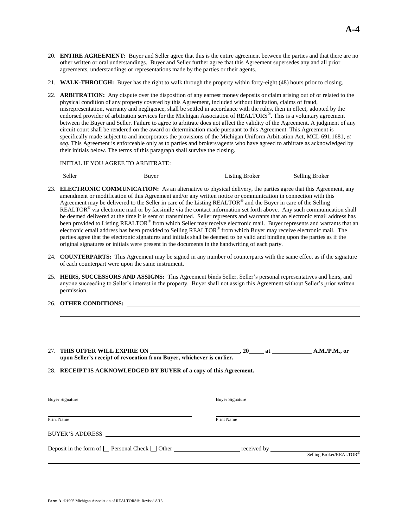- 20. **ENTIRE AGREEMENT:** Buyer and Seller agree that this is the entire agreement between the parties and that there are no other written or oral understandings. Buyer and Seller further agree that this Agreement supersedes any and all prior agreements, understandings or representations made by the parties or their agents.
- 21. **WALK-THROUGH:** Buyer has the right to walk through the property within forty-eight (48) hours prior to closing.
- 22. **ARBITRATION:** Any dispute over the disposition of any earnest money deposits or claim arising out of or related to the physical condition of any property covered by this Agreement, included without limitation, claims of fraud, misrepresentation, warranty and negligence, shall be settled in accordance with the rules, then in effect, adopted by the endorsed provider of arbitration services for the Michigan Association of REALTORS®. This is a voluntary agreement between the Buyer and Seller. Failure to agree to arbitrate does not affect the validity of the Agreement. A judgment of any circuit court shall be rendered on the award or determination made pursuant to this Agreement. This Agreement is specifically made subject to and incorporates the provisions of the Michigan Uniform Arbitration Act, MCL 691.1681, *et seq*. This Agreement is enforceable only as to parties and brokers/agents who have agreed to arbitrate as acknowledged by their initials below. The terms of this paragraph shall survive the closing.

INITIAL IF YOU AGREE TO ARBITRATE:

Seller **Listing Broker** Selling Broker Selling Broker

- 23. **ELECTRONIC COMMUNICATION:** As an alternative to physical delivery, the parties agree that this Agreement, any amendment or modification of this Agreement and/or any written notice or communication in connection with this Agreement may be delivered to the Seller in care of the Listing REALTOR<sup>®</sup> and the Buyer in care of the Selling REALTOR® via electronic mail or by facsimile via the contact information set forth above. Any such communication shall be deemed delivered at the time it is sent or transmitted. Seller represents and warrants that an electronic email address has been provided to Listing REALTOR® from which Seller may receive electronic mail. Buyer represents and warrants that an electronic email address has been provided to Selling REALTOR<sup>®</sup> from which Buyer may receive electronic mail. The parties agree that the electronic signatures and initials shall be deemed to be valid and binding upon the parties as if the original signatures or initials were present in the documents in the handwriting of each party.
- 24. **COUNTERPARTS:** This Agreement may be signed in any number of counterparts with the same effect as if the signature of each counterpart were upon the same instrument.
- 25. **HEIRS, SUCCESSORS AND ASSIGNS:** This Agreement binds Seller, Seller's personal representatives and heirs, and anyone succeeding to Seller's interest in the property. Buyer shall not assign this Agreement without Seller's prior written permission.
- 26. **OTHER CONDITIONS:**

| 27. THIS OFFER WILL EXPIRE ON                                         | . 20 | <b>a</b> | A.M.P.M., or |
|-----------------------------------------------------------------------|------|----------|--------------|
| upon Seller's receipt of revocation from Buyer, whichever is earlier. |      |          |              |
|                                                                       |      |          |              |

28. **RECEIPT IS ACKNOWLEDGED BY BUYER of a copy of this Agreement.**

| <b>Buyer Signature</b>                                    | <b>Buyer Signature</b> |                         |  |  |
|-----------------------------------------------------------|------------------------|-------------------------|--|--|
| Print Name                                                | Print Name             |                         |  |  |
| BUYER'S ADDRESS                                           |                        |                         |  |  |
| Deposit in the form of $\Box$ Personal Check $\Box$ Other |                        | Selling Broker/REALTOR® |  |  |